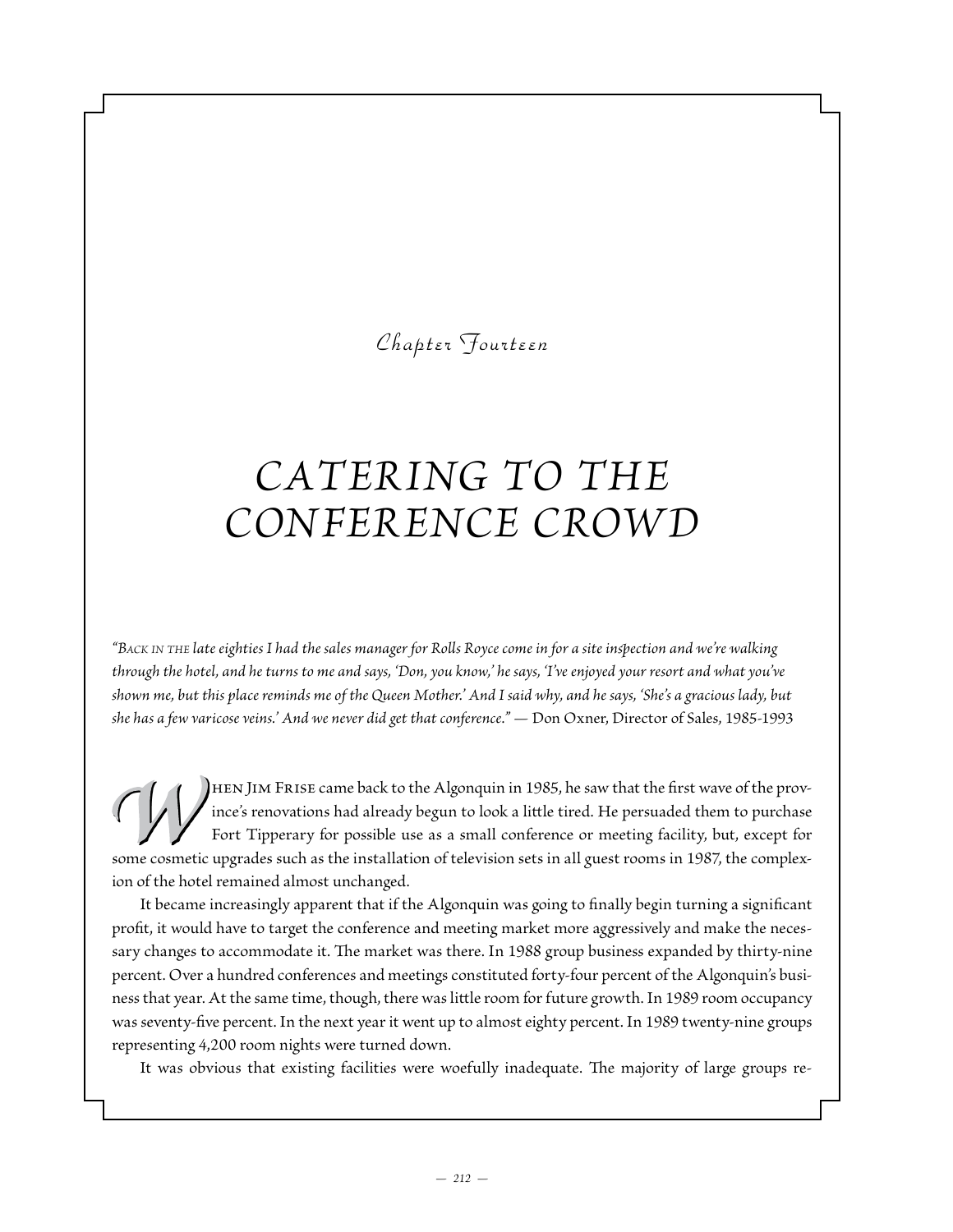*Chapter Fourteen*

## *Cater ing to the Conference Crowd*

*"Back in the late eighties I had the sales manager for Rolls Royce come in for a site inspection and we're walking through the hotel, and he turns to me and says, 'Don, you know,' he says, 'I've enjoyed your resort and what you've shown me, but this place reminds me of the Queen Mother.' And I said why, and he says, 'She's a gracious lady, but she has a few varicose veins.' And we never did get that conference." —* Don Oxner, Director of Sales, 1985-1993

hen Jim Frise came back to the Algonquin in 1985, he saw that the first wave of the province's renovations had already begun to look a little tired. He persuaded them to purchase Fort Tipperary for possible use as a small conference or meeting facility, but, except for some cosmetic upgrades such as the installation of television sets in all guest rooms in 1987, the complexion of the hotel remained almost unchanged.

It became increasingly apparent that if the Algonquin was going to finally begin turning a significant profit, it would have to target the conference and meeting market more aggressively and make the necessary changes to accommodate it. The market was there. In 1988 group business expanded by thirty-nine percent. Over a hundred conferences and meetings constituted forty-four percent of the Algonquin's business that year. At the same time, though, there was little room for future growth. In 1989 room occupancy was seventy-five percent. In the next year it went up to almost eighty percent. In 1989 twenty-nine groups representing 4,200 room nights were turned down.

It was obvious that existing facilities were woefully inadequate. The majority of large groups re-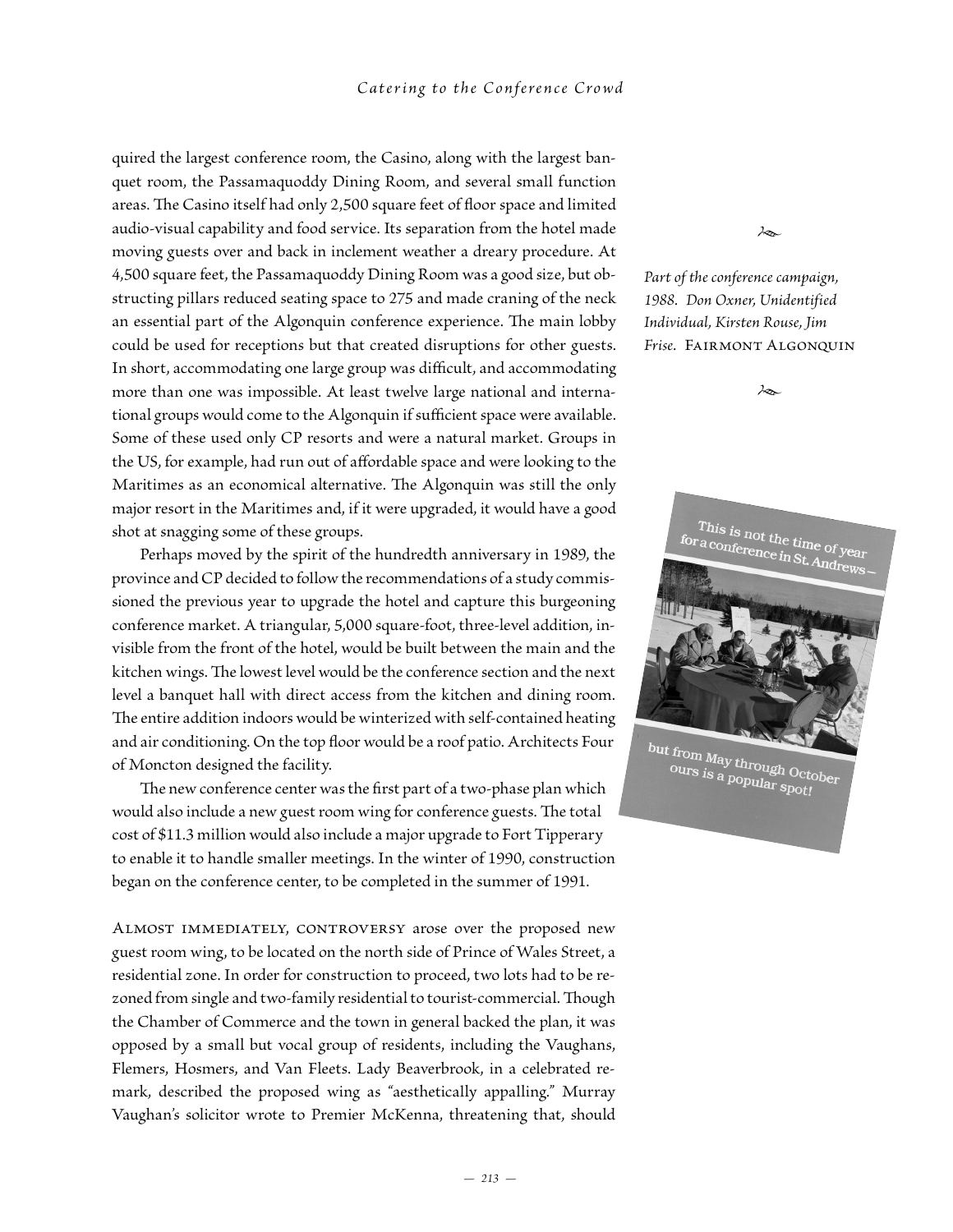quired the largest conference room, the Casino, along with the largest banquet room, the Passamaquoddy Dining Room, and several small function areas. The Casino itself had only 2,500 square feet of floor space and limited audio-visual capability and food service. Its separation from the hotel made moving guests over and back in inclement weather a dreary procedure. At 4,500 square feet, the Passamaquoddy Dining Room was a good size, but obstructing pillars reduced seating space to 275 and made craning of the neck an essential part of the Algonquin conference experience. The main lobby could be used for receptions but that created disruptions for other guests. In short, accommodating one large group was difficult, and accommodating more than one was impossible. At least twelve large national and international groups would come to the Algonquin if sufficient space were available. Some of these used only CP resorts and were a natural market. Groups in the US, for example, had run out of affordable space and were looking to the Maritimes as an economical alternative. The Algonquin was still the only major resort in the Maritimes and, if it were upgraded, it would have a good shot at snagging some of these groups.

Perhaps moved by the spirit of the hundredth anniversary in 1989, the province and CP decided to follow the recommendations of a study commissioned the previous year to upgrade the hotel and capture this burgeoning conference market. A triangular, 5,000 square-foot, three-level addition, invisible from the front of the hotel, would be built between the main and the kitchen wings. The lowest level would be the conference section and the next level a banquet hall with direct access from the kitchen and dining room. The entire addition indoors would be winterized with self-contained heating and air conditioning. On the top floor would be a roof patio. Architects Four of Moncton designed the facility.

The new conference center was the first part of a two-phase plan which would also include a new guest room wing for conference guests. The total cost of \$11.3 million would also include a major upgrade to Fort Tipperary to enable it to handle smaller meetings. In the winter of 1990, construction began on the conference center, to be completed in the summer of 1991.

ALMOST IMMEDIATELY, CONTROVERSY arose over the proposed new guest room wing, to be located on the north side of Prince of Wales Street, a residential zone. In order for construction to proceed, two lots had to be rezoned from single and two-family residential to tourist-commercial. Though the Chamber of Commerce and the town in general backed the plan, it was opposed by a small but vocal group of residents, including the Vaughans, Flemers, Hosmers, and Van Fleets. Lady Beaverbrook, in a celebrated remark, described the proposed wing as "aesthetically appalling." Murray Vaughan's solicitor wrote to Premier McKenna, threatening that, should *Part of the conference campaign, 1988. Don Oxner, Unidentified Individual, Kirsten Rouse, Jim Frise.* Fairmont Algonquin

*•*

*•*



but from May through October<br>ours is a popular spott ours is a popular spot!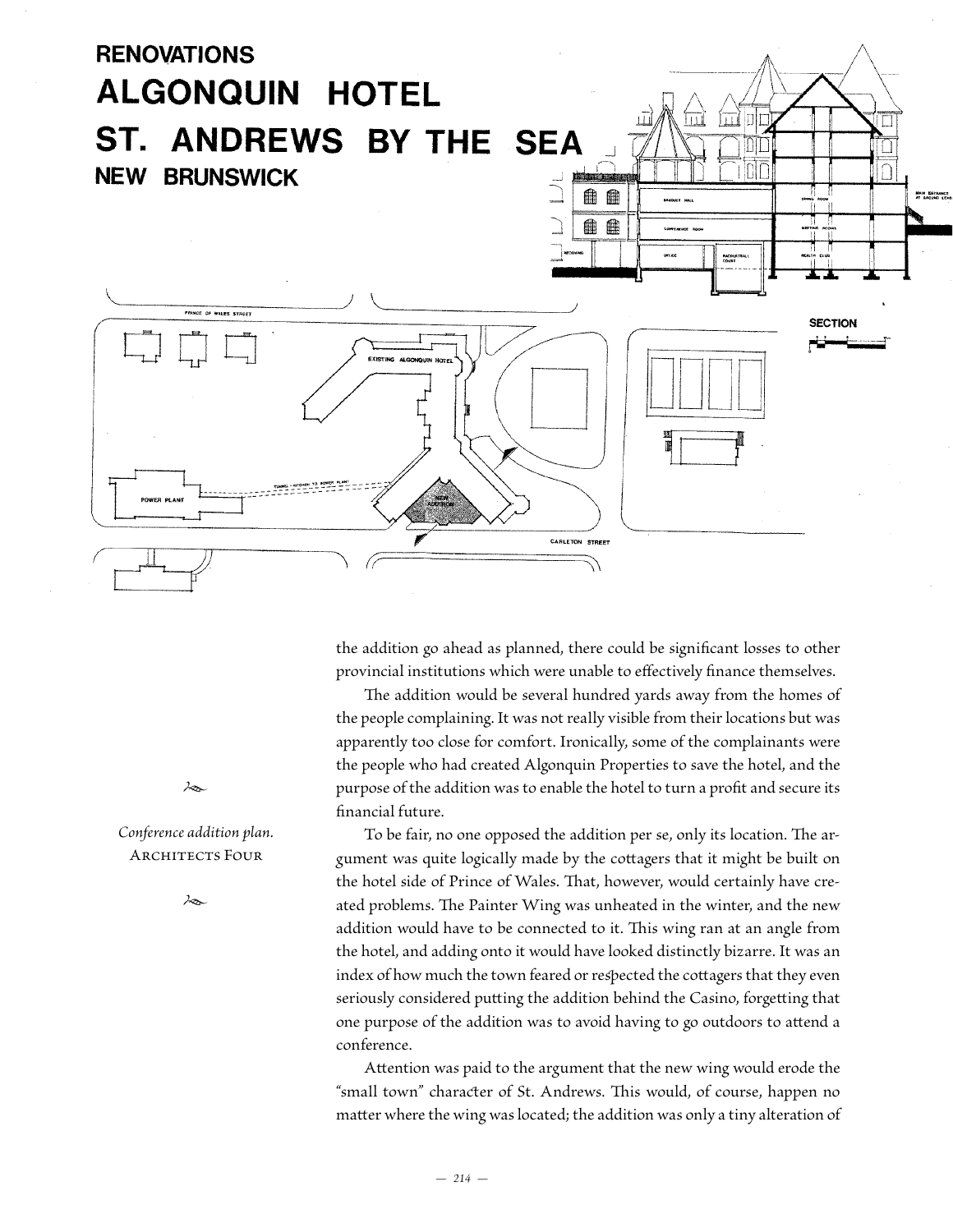

the addition go ahead as planned, there could be significant losses to other provincial institutions which were unable to effectively finance themselves.

The addition would be several hundred yards away from the homes of the people complaining. It was not really visible from their locations but was apparently too close for comfort. Ironically, some of the complainants were the people who had created Algonquin Properties to save the hotel, and the purpose of the addition was to enable the hotel to turn a profit and secure its financial future.

To be fair, no one opposed the addition per se, only its location. The argument was quite logically made by the cottagers that it might be built on the hotel side of Prince of Wales. That, however, would certainly have created problems. The Painter Wing was unheated in the winter, and the new addition would have to be connected to it. This wing ran at an angle from the hotel, and adding onto it would have looked distinctly bizarre. It was an index of how much the town feared or respected the cottagers that they even seriously considered putting the addition behind the Casino, forgetting that one purpose of the addition was to avoid having to go outdoors to attend a conference.

Attention was paid to the argument that the new wing would erode the "small town" character of St. Andrews. This would, of course, happen no matter where the wing was located; the addition was only a tiny alteration of

*•*

*Conference addition plan.* Architects Four

*•*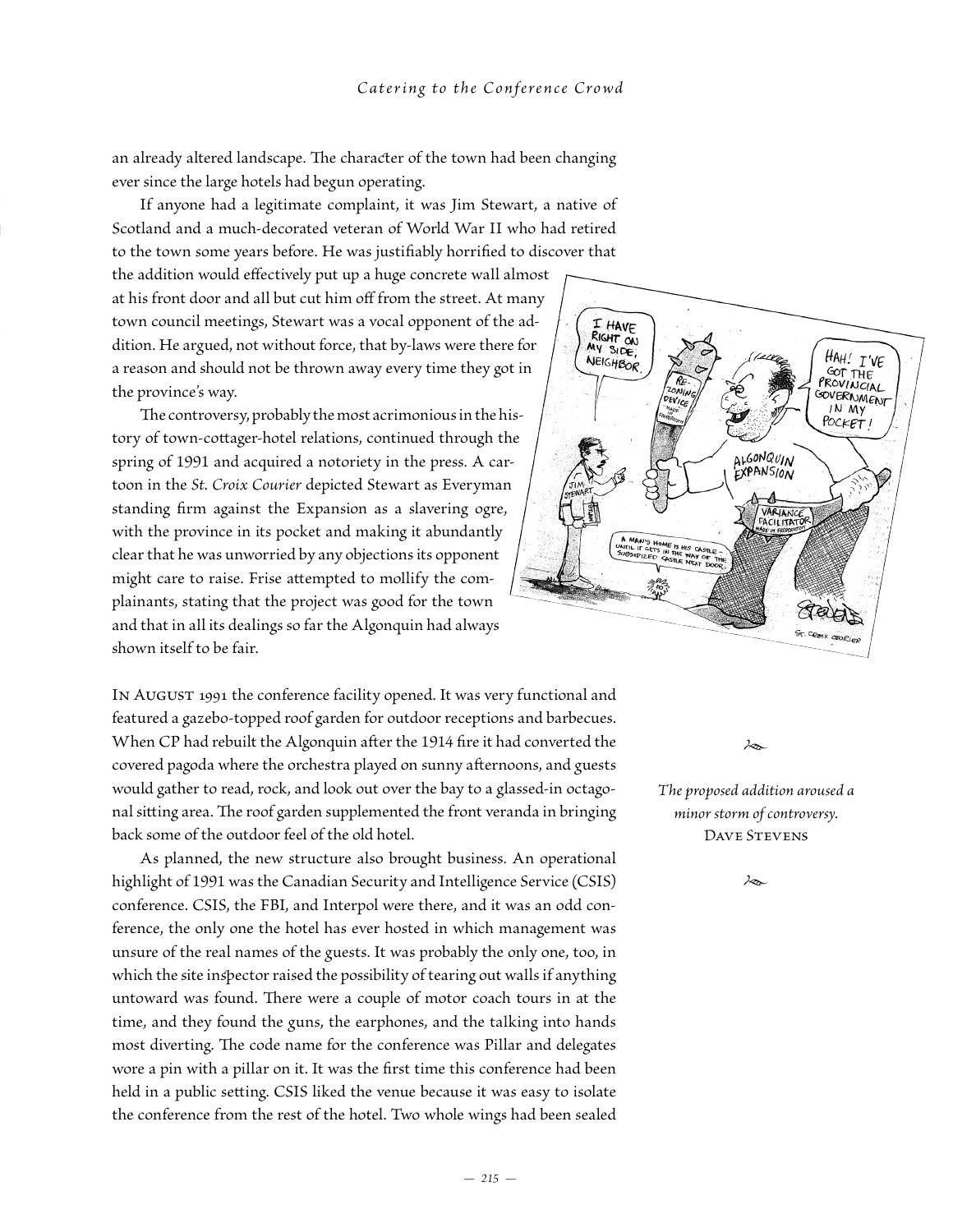an already altered landscape. The character of the town had been changing ever since the large hotels had begun operating.

If anyone had a legitimate complaint, it was Jim Stewart, a native of Scotland and a much-decorated veteran of World War II who had retired to the town some years before. He was justifiably horrified to discover that

the addition would effectively put up a huge concrete wall almost at his front door and all but cut him off from the street. At many town council meetings, Stewart was a vocal opponent of the addition. He argued, not without force, that by-laws were there for a reason and should not be thrown away every time they got in the province's way.

The controversy, probably the most acrimonious in the history of town-cottager-hotel relations, continued through the spring of 1991 and acquired a notoriety in the press. A cartoon in the *St. Croix Courier* depicted Stewart as Everyman standing firm against the Expansion as a slavering ogre, with the province in its pocket and making it abundantly clear that he was unworried by any objections its opponent might care to raise. Frise attempted to mollify the complainants, stating that the project was good for the town and that in all its dealings so far the Algonquin had always shown itself to be fair.

IN AUGUST 1991 the conference facility opened. It was very functional and featured a gazebo-topped roof garden for outdoor receptions and barbecues. When CP had rebuilt the Algonquin after the 1914 fire it had converted the covered pagoda where the orchestra played on sunny afternoons, and guests would gather to read, rock, and look out over the bay to a glassed-in octagonal sitting area. The roof garden supplemented the front veranda in bringing back some of the outdoor feel of the old hotel.

As planned, the new structure also brought business. An operational highlight of 1991 was the Canadian Security and Intelligence Service (CSIS) conference. CSIS, the FBI, and Interpol were there, and it was an odd conference, the only one the hotel has ever hosted in which management was unsure of the real names of the guests. It was probably the only one, too, in which the site inspector raised the possibility of tearing out walls if anything untoward was found. There were a couple of motor coach tours in at the time, and they found the guns, the earphones, and the talking into hands most diverting. The code name for the conference was Pillar and delegates wore a pin with a pillar on it. It was the first time this conference had been held in a public setting. CSIS liked the venue because it was easy to isolate the conference from the rest of the hotel. Two whole wings had been sealed



*The proposed addition aroused a minor storm of controversy.* DAVE STEVENS

*•*

*•*